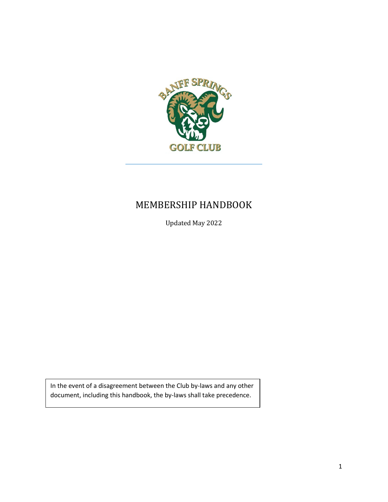

## MEMBERSHIP HANDBOOK

Updated May 2022

In the event of a disagreement between the Club by-laws and any other document, including this handbook, the by-laws shall take precedence.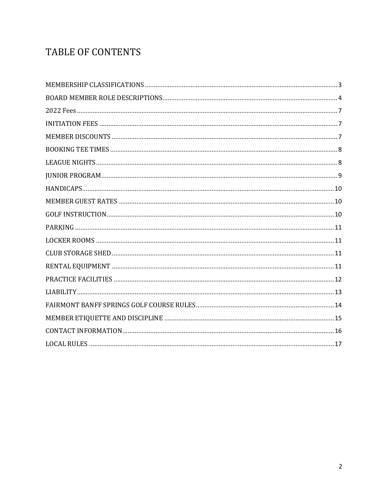# TABLE OF CONTENTS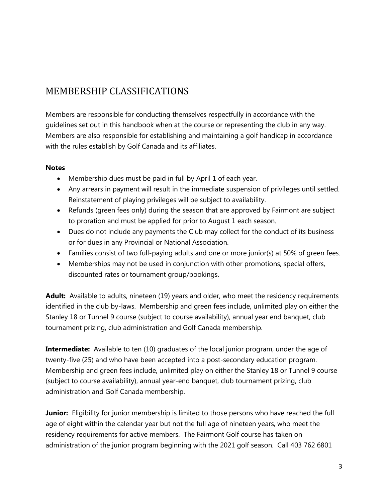## <span id="page-2-0"></span>MEMBERSHIP CLASSIFICATIONS

Members are responsible for conducting themselves respectfully in accordance with the guidelines set out in this handbook when at the course or representing the club in any way. Members are also responsible for establishing and maintaining a golf handicap in accordance with the rules establish by Golf Canada and its affiliates.

#### **Notes**

- Membership dues must be paid in full by April 1 of each year.
- Any arrears in payment will result in the immediate suspension of privileges until settled. Reinstatement of playing privileges will be subject to availability.
- Refunds (green fees only) during the season that are approved by Fairmont are subject to proration and must be applied for prior to August 1 each season.
- Dues do not include any payments the Club may collect for the conduct of its business or for dues in any Provincial or National Association.
- Families consist of two full-paying adults and one or more junior(s) at 50% of green fees.
- Memberships may not be used in conjunction with other promotions, special offers, discounted rates or tournament group/bookings.

**Adult:** Available to adults, nineteen (19) years and older, who meet the residency requirements identified in the club by-laws. Membership and green fees include, unlimited play on either the Stanley 18 or Tunnel 9 course (subject to course availability), annual year end banquet, club tournament prizing, club administration and Golf Canada membership.

**Intermediate:** Available to ten (10) graduates of the local junior program, under the age of twenty-five (25) and who have been accepted into a post-secondary education program. Membership and green fees include, unlimited play on either the Stanley 18 or Tunnel 9 course (subject to course availability), annual year-end banquet, club tournament prizing, club administration and Golf Canada membership.

**Junior:** Eligibility for junior membership is limited to those persons who have reached the full age of eight within the calendar year but not the full age of nineteen years, who meet the residency requirements for active members. The Fairmont Golf course has taken on administration of the junior program beginning with the 2021 golf season. Call 403 762 6801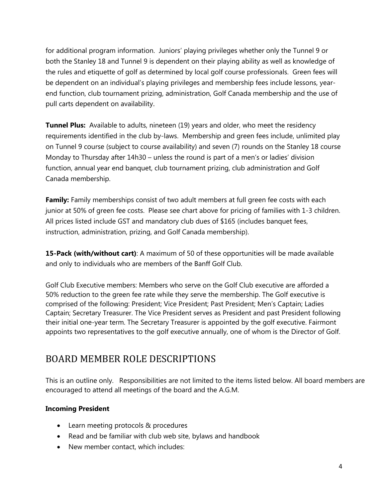for additional program information. Juniors' playing privileges whether only the Tunnel 9 or both the Stanley 18 and Tunnel 9 is dependent on their playing ability as well as knowledge of the rules and etiquette of golf as determined by local golf course professionals. Green fees will be dependent on an individual's playing privileges and membership fees include lessons, yearend function, club tournament prizing, administration, Golf Canada membership and the use of pull carts dependent on availability.

**Tunnel Plus:** Available to adults, nineteen (19) years and older, who meet the residency requirements identified in the club by-laws. Membership and green fees include, unlimited play on Tunnel 9 course (subject to course availability) and seven (7) rounds on the Stanley 18 course Monday to Thursday after 14h30 – unless the round is part of a men's or ladies' division function, annual year end banquet, club tournament prizing, club administration and Golf Canada membership.

**Family:** Family memberships consist of two adult members at full green fee costs with each junior at 50% of green fee costs. Please see chart above for pricing of families with 1-3 children. All prices listed include GST and mandatory club dues of \$165 (includes banquet fees, instruction, administration, prizing, and Golf Canada membership).

**15-Pack (with/without cart)**: A maximum of 50 of these opportunities will be made available and only to individuals who are members of the Banff Golf Club.

Golf Club Executive members: Members who serve on the Golf Club executive are afforded a 50% reduction to the green fee rate while they serve the membership. The Golf executive is comprised of the following: President; Vice President; Past President; Men's Captain; Ladies Captain; Secretary Treasurer. The Vice President serves as President and past President following their initial one-year term. The Secretary Treasurer is appointed by the golf executive. Fairmont appoints two representatives to the golf executive annually, one of whom is the Director of Golf.

### <span id="page-3-0"></span>BOARD MEMBER ROLE DESCRIPTIONS

This is an outline only. Responsibilities are not limited to the items listed below. All board members are encouraged to attend all meetings of the board and the A.G.M.

#### **Incoming President**

- Learn meeting protocols & procedures
- Read and be familiar with club web site, bylaws and handbook
- New member contact, which includes: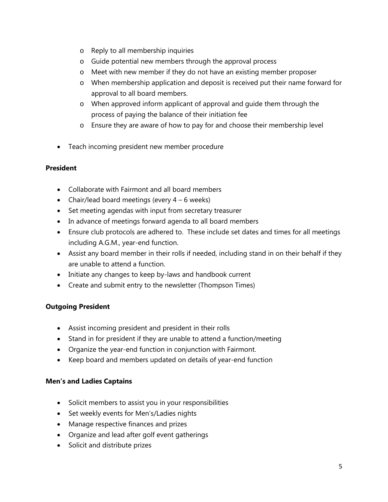- o Reply to all membership inquiries
- o Guide potential new members through the approval process
- o Meet with new member if they do not have an existing member proposer
- o When membership application and deposit is received put their name forward for approval to all board members.
- o When approved inform applicant of approval and guide them through the process of paying the balance of their initiation fee
- o Ensure they are aware of how to pay for and choose their membership level
- Teach incoming president new member procedure

#### **President**

- Collaborate with Fairmont and all board members
- Chair/lead board meetings (every  $4 6$  weeks)
- Set meeting agendas with input from secretary treasurer
- In advance of meetings forward agenda to all board members
- Ensure club protocols are adhered to. These include set dates and times for all meetings including A.G.M., year-end function.
- Assist any board member in their rolls if needed, including stand in on their behalf if they are unable to attend a function.
- Initiate any changes to keep by-laws and handbook current
- Create and submit entry to the newsletter (Thompson Times)

#### **Outgoing President**

- Assist incoming president and president in their rolls
- Stand in for president if they are unable to attend a function/meeting
- Organize the year-end function in conjunction with Fairmont.
- Keep board and members updated on details of year-end function

#### **Men's and Ladies Captains**

- Solicit members to assist you in your responsibilities
- Set weekly events for Men's/Ladies nights
- Manage respective finances and prizes
- Organize and lead after golf event gatherings
- Solicit and distribute prizes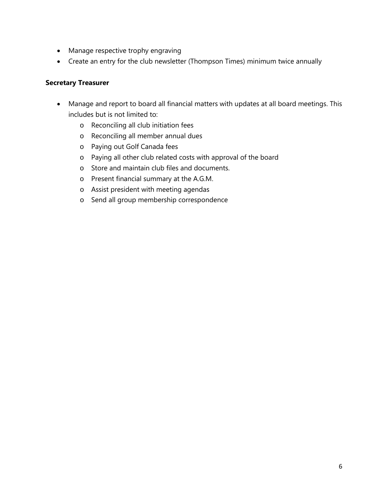- Manage respective trophy engraving
- Create an entry for the club newsletter (Thompson Times) minimum twice annually

#### **Secretary Treasurer**

- Manage and report to board all financial matters with updates at all board meetings. This includes but is not limited to:
	- o Reconciling all club initiation fees
	- o Reconciling all member annual dues
	- o Paying out Golf Canada fees
	- o Paying all other club related costs with approval of the board
	- o Store and maintain club files and documents.
	- o Present financial summary at the A.G.M.
	- o Assist president with meeting agendas
	- o Send all group membership correspondence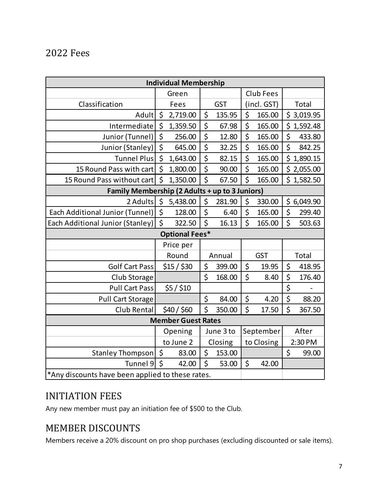### <span id="page-6-0"></span>2022 Fees

| <b>Individual Membership</b>                     |                    |             |            |        |             |        |                    |                |
|--------------------------------------------------|--------------------|-------------|------------|--------|-------------|--------|--------------------|----------------|
|                                                  | Green              |             |            |        | Club Fees   |        |                    |                |
| Classification                                   | Fees               |             | <b>GST</b> |        | (incl. GST) |        | <b>Total</b>       |                |
| Adult                                            | \$                 | 2,719.00    | \$         | 135.95 | \$          | 165.00 |                    | \$3,019.95     |
| Intermediate                                     | \$                 | 1,359.50    | \$         | 67.98  | \$          | 165.00 |                    | \$1,592.48     |
| Junior (Tunnel)                                  | \$                 | 256.00      | \$         | 12.80  | \$          | 165.00 | $\zeta$            | 433.80         |
| Junior (Stanley)                                 | \$                 | 645.00      | \$         | 32.25  | \$          | 165.00 | $\zeta$            | 842.25         |
| <b>Tunnel Plus</b>                               | \$                 | 1,643.00    | \$         | 82.15  | \$          | 165.00 |                    | \$1,890.15     |
| 15 Round Pass with cart                          | \$                 | 1,800.00    | \$         | 90.00  | \$          | 165.00 |                    | \$2,055.00     |
| 15 Round Pass without cart                       | $\mathsf{\dot{S}}$ | 1,350.00    | \$         | 67.50  | \$          | 165.00 |                    | \$1,582.50     |
| Family Membership (2 Adults + up to 3 Juniors)   |                    |             |            |        |             |        |                    |                |
| 2 Adults                                         | \$                 | 5,438.00    | \$         | 281.90 | \$          | 330.00 |                    | \$6,049.90     |
| <b>Each Additional Junior (Tunnel)</b>           | \$                 | 128.00      | \$         | 6.40   | \$          | 165.00 | \$                 | 299.40         |
| Each Additional Junior (Stanley)                 | $\zeta$            | 322.50      | \$         | 16.13  | \$          | 165.00 | $\mathsf{\dot{S}}$ | 503.63         |
| <b>Optional Fees*</b>                            |                    |             |            |        |             |        |                    |                |
|                                                  | Price per          |             |            |        |             |        |                    |                |
|                                                  |                    | Round       | Annual     |        | <b>GST</b>  |        | Total              |                |
| <b>Golf Cart Pass</b>                            |                    | $$15/$ \$30 | \$         | 399.00 | \$          | 19.95  | \$                 | 418.95         |
| Club Storage                                     |                    |             | \$         | 168.00 | \$          | 8.40   | \$                 | 176.40         |
| Pull Cart Pass                                   |                    | \$5/ \$10   |            |        |             |        | \$                 | $\overline{a}$ |
| <b>Pull Cart Storage</b>                         |                    |             | \$         | 84.00  | \$          | 4.20   | \$                 | 88.20          |
| Club Rental                                      |                    | \$40 / \$60 | Ś          | 350.00 | \$          | 17.50  | \$                 | 367.50         |
| <b>Member Guest Rates</b>                        |                    |             |            |        |             |        |                    |                |
|                                                  | Opening            |             | June 3 to  |        | September   |        | After              |                |
|                                                  | to June 2          |             | Closing    |        | to Closing  |        | 2:30 PM            |                |
| Stanley Thompson                                 | $\zeta$            | 83.00       | \$         | 153.00 |             |        | \$                 | 99.00          |
| Tunnel 9                                         | $\zeta$            | 42.00       | \$         | 53.00  | \$          | 42.00  |                    |                |
| *Any discounts have been applied to these rates. |                    |             |            |        |             |        |                    |                |

## <span id="page-6-1"></span>INITIATION FEES

Any new member must pay an initiation fee of \$500 to the Club.

## <span id="page-6-2"></span>MEMBER DISCOUNTS

Members receive a 20% discount on pro shop purchases (excluding discounted or sale items).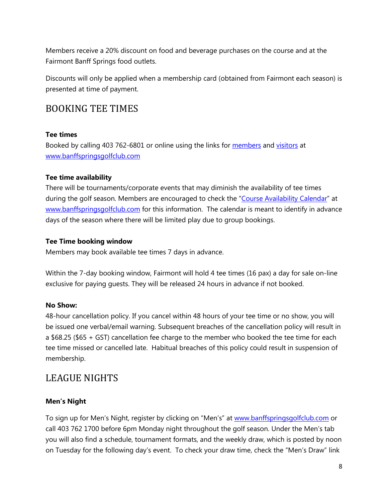Members receive a 20% discount on food and beverage purchases on the course and at the Fairmont Banff Springs food outlets.

Discounts will only be applied when a membership card (obtained from Fairmont each season) is presented at time of payment.

#### <span id="page-7-0"></span>BOOKING TEE TIMES

#### **Tee times**

Booked by calling 403 762-6801 or online using the links for [members](https://banffspringsgolfclub.com/members-only-booking/) and [visitors](https://www.fairmont.com/banff-springs/golf/the-fairmont-banff-springs-golf/) at [www.banffspringsgolfclub.com](http://www.banffspringsgolfclub.com/)

#### **Tee time availability**

There will be tournaments/corporate events that may diminish the availability of tee times during the golf season. Members are encouraged to check the ["Course Availability Calendar"](https://banffspringsgolfclub.com/course-availability-calendar/) at [www.banffspringsgolfclub.com](http://www.banffspringsgolfclub.com/) for this information. The calendar is meant to identify in advance days of the season where there will be limited play due to group bookings.

#### **Tee Time booking window**

Members may book available tee times 7 days in advance.

Within the 7-day booking window, Fairmont will hold 4 tee times (16 pax) a day for sale on-line exclusive for paying guests. They will be released 24 hours in advance if not booked.

#### **No Show:**

48-hour cancellation policy. If you cancel within 48 hours of your tee time or no show, you will be issued one verbal/email warning. Subsequent breaches of the cancellation policy will result in a \$68.25 (\$65 + GST) cancellation fee charge to the member who booked the tee time for each tee time missed or cancelled late. Habitual breaches of this policy could result in suspension of membership.

### <span id="page-7-1"></span>LEAGUE NIGHTS

#### **Men's Night**

To sign up for Men's Night, register by clicking on "Men's" at [www.banffspringsgolfclub.com](http://www.banffspringsgolfclub.com/) or call 403 762 1700 before 6pm Monday night throughout the golf season. Under the Men's tab you will also find a schedule, tournament formats, and the weekly draw, which is posted by noon on Tuesday for the following day's event. To check your draw time, check the "Men's Draw" link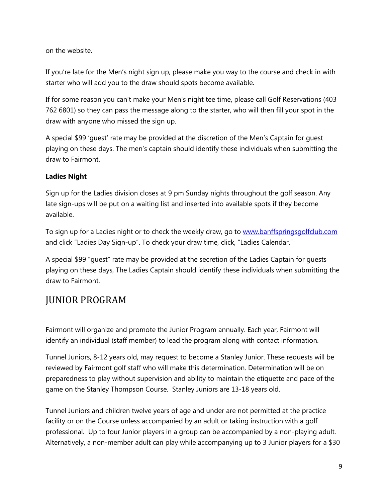on the website.

If you're late for the Men's night sign up, please make you way to the course and check in with starter who will add you to the draw should spots become available.

If for some reason you can't make your Men's night tee time, please call Golf Reservations (403 762 6801) so they can pass the message along to the starter, who will then fill your spot in the draw with anyone who missed the sign up.

A special \$99 'guest' rate may be provided at the discretion of the Men's Captain for guest playing on these days. The men's captain should identify these individuals when submitting the draw to Fairmont.

#### **Ladies Night**

Sign up for the Ladies division closes at 9 pm Sunday nights throughout the golf season. Any late sign-ups will be put on a waiting list and inserted into available spots if they become available.

To sign up for a Ladies night or to check the weekly draw, go to [www.banffspringsgolfclub.com](http://www.banffspringsgolfclub.com/) and click "Ladies Day Sign-up". To check your draw time, click, "Ladies Calendar."

A special \$99 "guest" rate may be provided at the secretion of the Ladies Captain for guests playing on these days, The Ladies Captain should identify these individuals when submitting the draw to Fairmont.

## <span id="page-8-0"></span>JUNIOR PROGRAM

Fairmont will organize and promote the Junior Program annually. Each year, Fairmont will identify an individual (staff member) to lead the program along with contact information.

Tunnel Juniors, 8-12 years old, may request to become a Stanley Junior. These requests will be reviewed by Fairmont golf staff who will make this determination. Determination will be on preparedness to play without supervision and ability to maintain the etiquette and pace of the game on the Stanley Thompson Course. Stanley Juniors are 13-18 years old.

Tunnel Juniors and children twelve years of age and under are not permitted at the practice facility or on the Course unless accompanied by an adult or taking instruction with a golf professional. Up to four Junior players in a group can be accompanied by a non-playing adult. Alternatively, a non-member adult can play while accompanying up to 3 Junior players for a \$30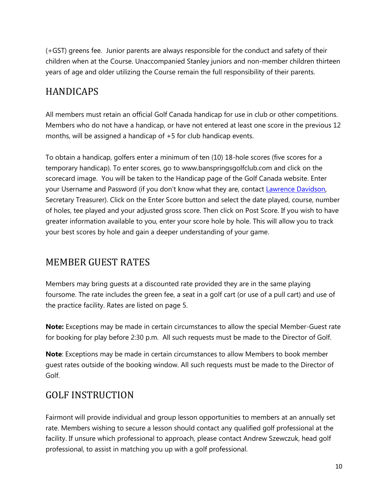(+GST) greens fee. Junior parents are always responsible for the conduct and safety of their children when at the Course. Unaccompanied Stanley juniors and non-member children thirteen years of age and older utilizing the Course remain the full responsibility of their parents.

## <span id="page-9-0"></span>HANDICAPS

All members must retain an official Golf Canada handicap for use in club or other competitions. Members who do not have a handicap, or have not entered at least one score in the previous 12 months, will be assigned a handicap of +5 for club handicap events.

To obtain a handicap, golfers enter a minimum of ten (10) 18-hole scores (five scores for a temporary handicap). To enter scores, go to [www.banspringsgolfclub.com](http://www.banspringsgolfclub.com/) and click on the scorecard image. You will be taken to the Handicap page of the Golf Canada website. Enter your Username and Password (if you don't know what they are, contact [Lawrence Davidson,](mailto:secretary-treasurer@banffspringsgolfclub.com?subject=I%20forgot%20my%20RGCA%20handicap%20login) Secretary Treasurer). Click on the Enter Score button and select the date played, course, number of holes, tee played and your adjusted gross score. Then click on Post Score. If you wish to have greater information available to you, enter your score hole by hole. This will allow you to track your best scores by hole and gain a deeper understanding of your game.

## <span id="page-9-1"></span>MEMBER GUEST RATES

Members may bring guests at a discounted rate provided they are in the same playing foursome. The rate includes the green fee, a seat in a golf cart (or use of a pull cart) and use of the practice facility. Rates are listed on page 5.

**Note:** Exceptions may be made in certain circumstances to allow the special Member-Guest rate for booking for play before 2:30 p.m. All such requests must be made to the Director of Golf.

**Note**: Exceptions may be made in certain circumstances to allow Members to book member guest rates outside of the booking window. All such requests must be made to the Director of Golf.

## <span id="page-9-2"></span>GOLF INSTRUCTION

Fairmont will provide individual and group lesson opportunities to members at an annually set rate. Members wishing to secure a lesson should contact any qualified golf professional at the facility. If unsure which professional to approach, please contact Andrew Szewczuk, head golf professional, to assist in matching you up with a golf professional.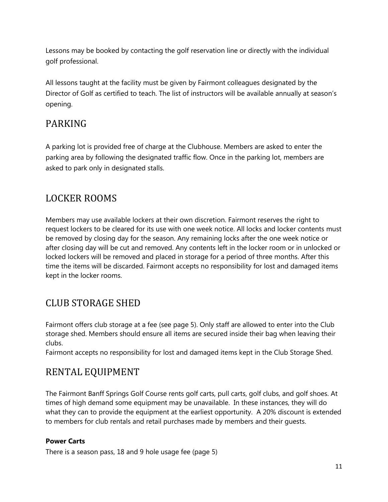Lessons may be booked by contacting the golf reservation line or directly with the individual golf professional.

All lessons taught at the facility must be given by Fairmont colleagues designated by the Director of Golf as certified to teach. The list of instructors will be available annually at season's opening.

### <span id="page-10-0"></span>PARKING

A parking lot is provided free of charge at the Clubhouse. Members are asked to enter the parking area by following the designated traffic flow. Once in the parking lot, members are asked to park only in designated stalls.

## <span id="page-10-1"></span>LOCKER ROOMS

Members may use available lockers at their own discretion. Fairmont reserves the right to request lockers to be cleared for its use with one week notice. All locks and locker contents must be removed by closing day for the season. Any remaining locks after the one week notice or after closing day will be cut and removed. Any contents left in the locker room or in unlocked or locked lockers will be removed and placed in storage for a period of three months. After this time the items will be discarded. Fairmont accepts no responsibility for lost and damaged items kept in the locker rooms.

## <span id="page-10-2"></span>CLUB STORAGE SHED

Fairmont offers club storage at a fee (see page 5). Only staff are allowed to enter into the Club storage shed. Members should ensure all items are secured inside their bag when leaving their clubs.

Fairmont accepts no responsibility for lost and damaged items kept in the Club Storage Shed.

## <span id="page-10-3"></span>RENTAL EQUIPMENT

The Fairmont Banff Springs Golf Course rents golf carts, pull carts, golf clubs, and golf shoes. At times of high demand some equipment may be unavailable. In these instances, they will do what they can to provide the equipment at the earliest opportunity. A 20% discount is extended to members for club rentals and retail purchases made by members and their guests.

#### **Power Carts**

There is a season pass, 18 and 9 hole usage fee (page 5)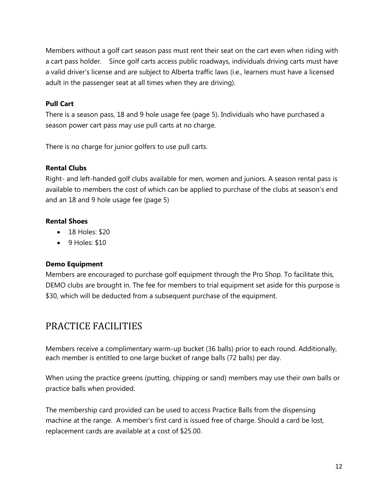Members without a golf cart season pass must rent their seat on the cart even when riding with a cart pass holder. Since golf carts access public roadways, individuals driving carts must have a valid driver's license and are subject to Alberta traffic laws (i.e., learners must have a licensed adult in the passenger seat at all times when they are driving).

#### **Pull Cart**

There is a season pass, 18 and 9 hole usage fee (page 5). Individuals who have purchased a season power cart pass may use pull carts at no charge.

There is no charge for junior golfers to use pull carts.

#### **Rental Clubs**

Right- and left-handed golf clubs available for men, women and juniors. A season rental pass is available to members the cost of which can be applied to purchase of the clubs at season's end and an 18 and 9 hole usage fee (page 5)

#### **Rental Shoes**

- 18 Holes: \$20
- 9 Holes: \$10

#### **Demo Equipment**

Members are encouraged to purchase golf equipment through the Pro Shop. To facilitate this, DEMO clubs are brought in. The fee for members to trial equipment set aside for this purpose is \$30, which will be deducted from a subsequent purchase of the equipment.

### <span id="page-11-0"></span>PRACTICE FACILITIES

Members receive a complimentary warm-up bucket (36 balls) prior to each round. Additionally, each member is entitled to one large bucket of range balls (72 balls) per day.

When using the practice greens (putting, chipping or sand) members may use their own balls or practice balls when provided.

The membership card provided can be used to access Practice Balls from the dispensing machine at the range. A member's first card is issued free of charge. Should a card be lost, replacement cards are available at a cost of \$25.00.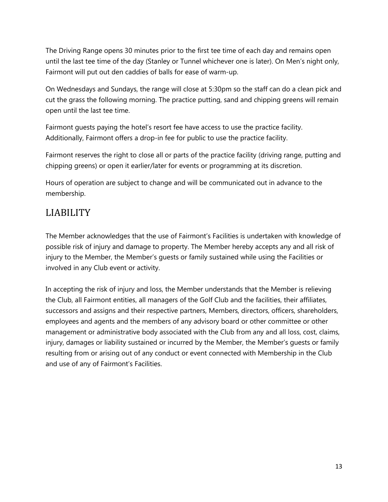The Driving Range opens 30 minutes prior to the first tee time of each day and remains open until the last tee time of the day (Stanley or Tunnel whichever one is later). On Men's night only, Fairmont will put out den caddies of balls for ease of warm-up.

On Wednesdays and Sundays, the range will close at 5:30pm so the staff can do a clean pick and cut the grass the following morning. The practice putting, sand and chipping greens will remain open until the last tee time.

Fairmont guests paying the hotel's resort fee have access to use the practice facility. Additionally, Fairmont offers a drop-in fee for public to use the practice facility.

Fairmont reserves the right to close all or parts of the practice facility (driving range, putting and chipping greens) or open it earlier/later for events or programming at its discretion.

Hours of operation are subject to change and will be communicated out in advance to the membership.

## <span id="page-12-0"></span>LIABILITY

The Member acknowledges that the use of Fairmont's Facilities is undertaken with knowledge of possible risk of injury and damage to property. The Member hereby accepts any and all risk of injury to the Member, the Member's guests or family sustained while using the Facilities or involved in any Club event or activity.

In accepting the risk of injury and loss, the Member understands that the Member is relieving the Club, all Fairmont entities, all managers of the Golf Club and the facilities, their affiliates, successors and assigns and their respective partners, Members, directors, officers, shareholders, employees and agents and the members of any advisory board or other committee or other management or administrative body associated with the Club from any and all loss, cost, claims, injury, damages or liability sustained or incurred by the Member, the Member's guests or family resulting from or arising out of any conduct or event connected with Membership in the Club and use of any of Fairmont's Facilities.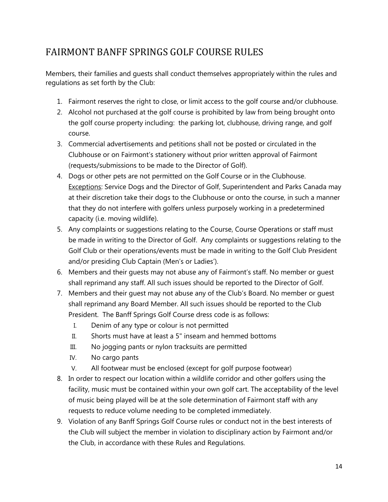## <span id="page-13-0"></span>FAIRMONT BANFF SPRINGS GOLF COURSE RULES

Members, their families and guests shall conduct themselves appropriately within the rules and regulations as set forth by the Club:

- 1. Fairmont reserves the right to close, or limit access to the golf course and/or clubhouse.
- 2. Alcohol not purchased at the golf course is prohibited by law from being brought onto the golf course property including: the parking lot, clubhouse, driving range, and golf course.
- 3. Commercial advertisements and petitions shall not be posted or circulated in the Clubhouse or on Fairmont's stationery without prior written approval of Fairmont (requests/submissions to be made to the Director of Golf).
- 4. Dogs or other pets are not permitted on the Golf Course or in the Clubhouse. **Exceptions: Service Dogs and the Director of Golf, Superintendent and Parks Canada may** at their discretion take their dogs to the Clubhouse or onto the course, in such a manner that they do not interfere with golfers unless purposely working in a predetermined capacity (i.e. moving wildlife).
- 5. Any complaints or suggestions relating to the Course, Course Operations or staff must be made in writing to the Director of Golf. Any complaints or suggestions relating to the Golf Club or their operations/events must be made in writing to the Golf Club President and/or presiding Club Captain (Men's or Ladies').
- 6. Members and their guests may not abuse any of Fairmont's staff. No member or guest shall reprimand any staff. All such issues should be reported to the Director of Golf.
- 7. Members and their guest may not abuse any of the Club's Board. No member or guest shall reprimand any Board Member. All such issues should be reported to the Club President. The Banff Springs Golf Course dress code is as follows:
	- I. Denim of any type or colour is not permitted
	- II. Shorts must have at least a 5" inseam and hemmed bottoms
	- III. No jogging pants or nylon tracksuits are permitted
	- IV. No cargo pants
	- V. All footwear must be enclosed (except for golf purpose footwear)
- 8. In order to respect our location within a wildlife corridor and other golfers using the facility, music must be contained within your own golf cart. The acceptability of the level of music being played will be at the sole determination of Fairmont staff with any requests to reduce volume needing to be completed immediately.
- 9. Violation of any Banff Springs Golf Course rules or conduct not in the best interests of the Club will subject the member in violation to disciplinary action by Fairmont and/or the Club, in accordance with these Rules and Regulations.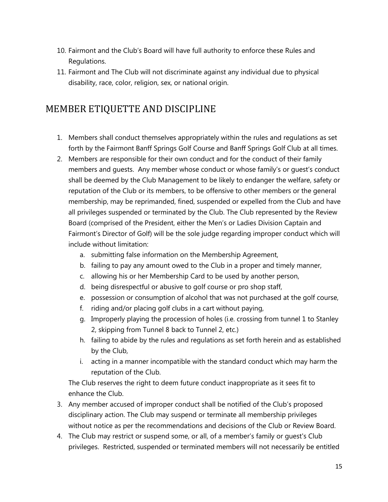- 10. Fairmont and the Club's Board will have full authority to enforce these Rules and Regulations.
- 11. Fairmont and The Club will not discriminate against any individual due to physical disability, race, color, religion, sex, or national origin.

## <span id="page-14-0"></span>MEMBER ETIQUETTE AND DISCIPLINE

- 1. Members shall conduct themselves appropriately within the rules and regulations as set forth by the Fairmont Banff Springs Golf Course and Banff Springs Golf Club at all times.
- 2. Members are responsible for their own conduct and for the conduct of their family members and guests. Any member whose conduct or whose family's or guest's conduct shall be deemed by the Club Management to be likely to endanger the welfare, safety or reputation of the Club or its members, to be offensive to other members or the general membership, may be reprimanded, fined, suspended or expelled from the Club and have all privileges suspended or terminated by the Club. The Club represented by the Review Board (comprised of the President, either the Men's or Ladies Division Captain and Fairmont's Director of Golf) will be the sole judge regarding improper conduct which will include without limitation:
	- a. submitting false information on the Membership Agreement,
	- b. failing to pay any amount owed to the Club in a proper and timely manner,
	- c. allowing his or her Membership Card to be used by another person,
	- d. being disrespectful or abusive to golf course or pro shop staff,
	- e. possession or consumption of alcohol that was not purchased at the golf course,
	- f. riding and/or placing golf clubs in a cart without paying,
	- g. Improperly playing the procession of holes (i.e. crossing from tunnel 1 to Stanley 2, skipping from Tunnel 8 back to Tunnel 2, etc.)
	- h. failing to abide by the rules and regulations as set forth herein and as established by the Club,
	- i. acting in a manner incompatible with the standard conduct which may harm the reputation of the Club.

The Club reserves the right to deem future conduct inappropriate as it sees fit to enhance the Club.

- 3. Any member accused of improper conduct shall be notified of the Club's proposed disciplinary action. The Club may suspend or terminate all membership privileges without notice as per the recommendations and decisions of the Club or Review Board.
- 4. The Club may restrict or suspend some, or all, of a member's family or guest's Club privileges. Restricted, suspended or terminated members will not necessarily be entitled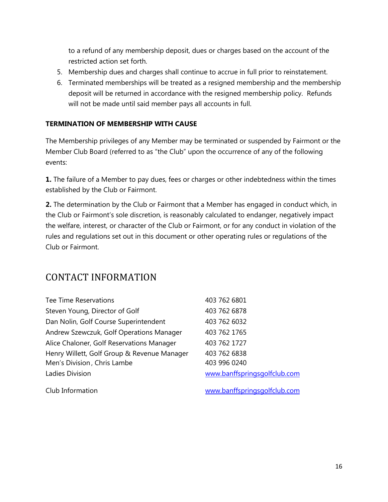to a refund of any membership deposit, dues or charges based on the account of the restricted action set forth.

- 5. Membership dues and charges shall continue to accrue in full prior to reinstatement.
- 6. Terminated memberships will be treated as a resigned membership and the membership deposit will be returned in accordance with the resigned membership policy. Refunds will not be made until said member pays all accounts in full.

#### **TERMINATION OF MEMBERSHIP WITH CAUSE**

The Membership privileges of any Member may be terminated or suspended by Fairmont or the Member Club Board (referred to as "the Club" upon the occurrence of any of the following events:

**1.** The failure of a Member to pay dues, fees or charges or other indebtedness within the times established by the Club or Fairmont.

**2.** The determination by the Club or Fairmont that a Member has engaged in conduct which, in the Club or Fairmont's sole discretion, is reasonably calculated to endanger, negatively impact the welfare, interest, or character of the Club or Fairmont, or for any conduct in violation of the rules and regulations set out in this document or other operating rules or regulations of the Club or Fairmont.

### <span id="page-15-0"></span>CONTACT INFORMATION

| Tee Time Reservations                       | 403 762 6801                 |
|---------------------------------------------|------------------------------|
| Steven Young, Director of Golf              | 403 762 6878                 |
| Dan Nolin, Golf Course Superintendent       | 403 762 6032                 |
| Andrew Szewczuk, Golf Operations Manager    | 403 762 1765                 |
| Alice Chaloner, Golf Reservations Manager   | 403 762 1727                 |
| Henry Willett, Golf Group & Revenue Manager | 403 762 6838                 |
| Men's Division, Chris Lambe                 | 403 996 0240                 |
| Ladies Division                             | www.banffspringsgolfclub.com |
|                                             |                              |

Club Information [www.banffspringsgolfclub.com](http://www.banffspringsgolfclub.com/)